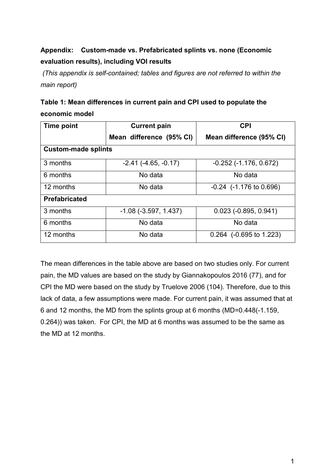# **Appendix: Custom-made vs. Prefabricated splints vs. none (Economic evaluation results), including VOI results**

*(This appendix is self-contained; tables and figures are not referred to within the main report)* 

| Table 1: Mean differences in current pain and CPI used to populate the |  |
|------------------------------------------------------------------------|--|
| economic model                                                         |  |

| Time point                 | <b>Current pain</b>           | <b>CPI</b>                      |  |  |
|----------------------------|-------------------------------|---------------------------------|--|--|
|                            | Mean difference (95% CI)      | Mean difference (95% CI)        |  |  |
| <b>Custom-made splints</b> |                               |                                 |  |  |
| 3 months                   | $-2.41$ ( $-4.65$ , $-0.17$ ) | $-0.252$ $(-1.176, 0.672)$      |  |  |
| 6 months                   | No data                       | No data                         |  |  |
| 12 months                  | No data                       | $-0.24$ ( $-1.176$ to $0.696$ ) |  |  |
| <b>Prefabricated</b>       |                               |                                 |  |  |
| 3 months                   | $-1.08$ $(-3.597, 1.437)$     | $0.023$ (-0.895, 0.941)         |  |  |
| 6 months                   | No data                       | No data                         |  |  |
| 12 months                  | No data                       | $0.264$ (-0.695 to 1.223)       |  |  |

The mean differences in the table above are based on two studies only. For current pain, the MD values are based on the study by Giannakopoulos 2016 (77), and for CPI the MD were based on the study by Truelove 2006 (104). Therefore, due to this lack of data, a few assumptions were made. For current pain, it was assumed that at 6 and 12 months, the MD from the splints group at 6 months (MD=0.448(-1.159, 0.264)) was taken. For CPI, the MD at 6 months was assumed to be the same as the MD at 12 months.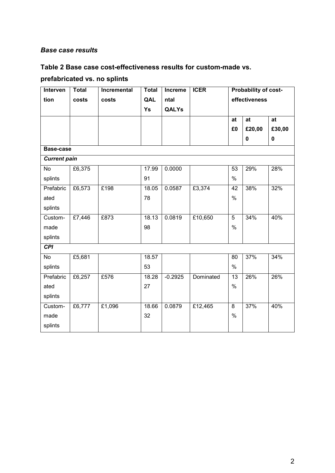#### *Base case results*

### **Table 2 Base case cost-effectiveness results for custom-made vs.**

## **prefabricated vs. no splints**

| Interven            | <b>Total</b> | Incremental | Total | Increme      | <b>ICER</b> |               | Probability of cost- |             |
|---------------------|--------------|-------------|-------|--------------|-------------|---------------|----------------------|-------------|
| tion                | costs        | costs       | QAL   | ntal         |             | effectiveness |                      |             |
|                     |              |             | Ys    | <b>QALYs</b> |             |               |                      |             |
|                     |              |             |       |              |             | at            | at                   | at          |
|                     |              |             |       |              |             | £0            | £20,00               | £30,00      |
|                     |              |             |       |              |             |               | 0                    | $\mathbf 0$ |
| Base-case           |              |             |       |              |             |               |                      |             |
| <b>Current pain</b> |              |             |       |              |             |               |                      |             |
| No                  | £6,375       |             | 17.99 | 0.0000       |             | 53            | 29%                  | 28%         |
| splints             |              |             | 91    |              |             | $\frac{0}{0}$ |                      |             |
| Prefabric           | £6,573       | £198        | 18.05 | 0.0587       | £3,374      | 42            | 38%                  | 32%         |
| ated                |              |             | 78    |              |             | $\%$          |                      |             |
| splints             |              |             |       |              |             |               |                      |             |
| Custom-             | £7,446       | £873        | 18.13 | 0.0819       | £10,650     | 5             | 34%                  | 40%         |
| made                |              |             | 98    |              |             | $\frac{0}{0}$ |                      |             |
| splints             |              |             |       |              |             |               |                      |             |
| <b>CPI</b>          |              |             |       |              |             |               |                      |             |
| $\overline{N}$      | £5,681       |             | 18.57 |              |             | 80            | 37%                  | 34%         |
| splints             |              |             | 53    |              |             | $\%$          |                      |             |
| Prefabric           | £6,257       | £576        | 18.28 | $-0.2925$    | Dominated   | 13            | 26%                  | 26%         |
| ated                |              |             | 27    |              |             | $\%$          |                      |             |
| splints             |              |             |       |              |             |               |                      |             |
| Custom-             | £6,777       | £1,096      | 18.66 | 0.0879       | £12,465     | 8             | 37%                  | 40%         |
| made                |              |             | 32    |              |             | $\frac{0}{0}$ |                      |             |
| splints             |              |             |       |              |             |               |                      |             |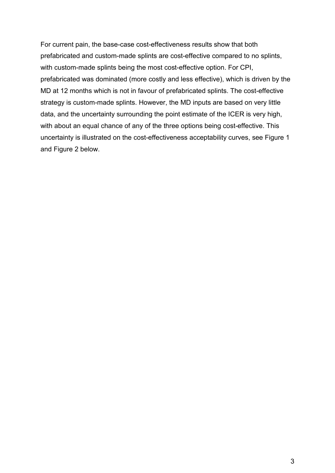For current pain, the base-case cost-effectiveness results show that both prefabricated and custom-made splints are cost-effective compared to no splints, with custom-made splints being the most cost-effective option. For CPI, prefabricated was dominated (more costly and less effective), which is driven by the MD at 12 months which is not in favour of prefabricated splints. The cost-effective strategy is custom-made splints. However, the MD inputs are based on very little data, and the uncertainty surrounding the point estimate of the ICER is very high, with about an equal chance of any of the three options being cost-effective. This uncertainty is illustrated on the cost-effectiveness acceptability curves, see Figure 1 and Figure 2 below.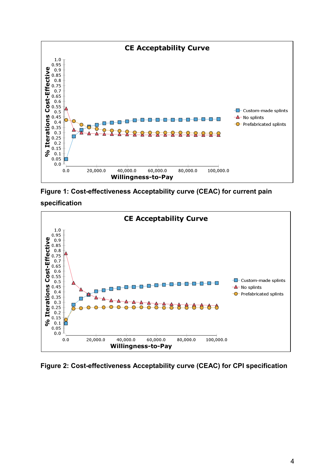

**Figure 1: Cost-effectiveness Acceptability curve (CEAC) for current pain**

#### **specification**



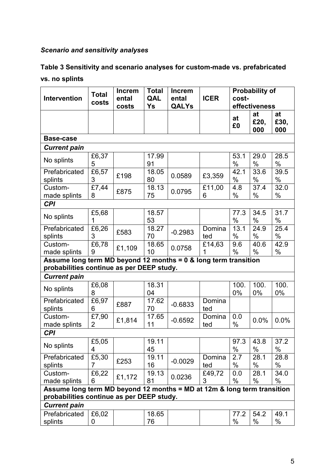## *Scenario and sensitivity analyses*

## **Table 3 Sensitivity and scenario analyses for custom-made vs. prefabricated**

### **vs. no splints**

| <b>Intervention</b>                                                                                          | <b>Total</b><br>costs | <b>Increm</b><br>ental<br>costs | <b>Total</b><br>QAL<br>Ys | <b>Increm</b><br>ental<br><b>QALYs</b> | <b>ICER</b>   | cost-        | <b>Probability of</b><br>effectiveness |                   |
|--------------------------------------------------------------------------------------------------------------|-----------------------|---------------------------------|---------------------------|----------------------------------------|---------------|--------------|----------------------------------------|-------------------|
|                                                                                                              |                       |                                 |                           |                                        |               | at<br>£0     | at<br>£20,<br>000                      | at<br>£30,<br>000 |
| <b>Base-case</b>                                                                                             |                       |                                 |                           |                                        |               |              |                                        |                   |
| <b>Current pain</b>                                                                                          |                       |                                 |                           |                                        |               |              |                                        |                   |
| No splints                                                                                                   | £6,37<br>5            |                                 | 17.99<br>91               |                                        |               | 53.1<br>$\%$ | 29.0<br>$\%$                           | 28.5<br>$\%$      |
| Prefabricated<br>splints                                                                                     | £6,57<br>3            | £198                            | 18.05<br>80               | 0.0589                                 | £3,359        | 42.1<br>$\%$ | 33.6<br>$\%$                           | 39.5<br>$\%$      |
| Custom-<br>made splints                                                                                      | £7,44<br>8            | £875                            | 18.13<br>75               | 0.0795                                 | £11,00<br>6   | 4.8<br>$\%$  | 37.4<br>$\%$                           | 32.0<br>$\%$      |
| <b>CPI</b>                                                                                                   |                       |                                 |                           |                                        |               |              |                                        |                   |
| No splints                                                                                                   | £5,68<br>1            |                                 | 18.57<br>53               |                                        |               | 77.3<br>$\%$ | 34.5<br>$\%$                           | 31.7<br>$\%$      |
| Prefabricated<br>splints                                                                                     | £6,26<br>3            | £583                            | 18.27<br>70               | $-0.2983$                              | Domina<br>ted | 13.1<br>$\%$ | 24.9<br>$\%$                           | 25.4<br>$\%$      |
| Custom-<br>made splints                                                                                      | £6,78<br>9            | £1,109                          | 18.65<br>10               | 0.0758                                 | £14,63        | 9.6<br>$\%$  | 40.6<br>$\%$                           | 42.9<br>$\%$      |
| Assume long term MD beyond 12 months = 0 & long term transition<br>probabilities continue as per DEEP study. |                       |                                 |                           |                                        |               |              |                                        |                   |
| <b>Current pain</b>                                                                                          |                       |                                 |                           |                                        |               |              |                                        |                   |
| No splints                                                                                                   | £6,08<br>8            |                                 | 18.31<br>04               |                                        |               | 100.<br>0%   | 100.<br>0%                             | 100.<br>$0\%$     |
| Prefabricated<br>splints                                                                                     | £6,97<br>6            | £887                            | 17.62<br>70               | $-0.6833$                              | Domina<br>ted |              |                                        |                   |
| Custom-<br>made splints                                                                                      | £7,90<br>2            | £1,814                          | 17.65<br>11               | $-0.6592$                              | Domina<br>ted | 0.0<br>%     | 0.0%                                   | 0.0%              |
| <b>CPI</b>                                                                                                   |                       |                                 |                           |                                        |               |              |                                        |                   |
| No splints                                                                                                   | £5,05<br>4            |                                 | 19.11<br>45               |                                        |               | 97.3<br>$\%$ | 43.8<br>$\%$                           | 37.2<br>$\%$      |
| Prefabricated<br>splints                                                                                     | £5,30<br>7            | £253                            | 19.11<br>16               | $-0.0029$                              | Domina<br>ted | 2.7<br>%     | 28.1<br>%                              | 28.8<br>%         |
| Custom-<br>made splints                                                                                      | £6,22<br>6            | £1,172                          | 19.13<br>81               | 0.0236                                 | £49,72<br>3   | 0.0<br>$\%$  | 28.1<br>$\%$                           | 34.0<br>%         |
| Assume long term MD beyond 12 months = MD at 12m & long term transition                                      |                       |                                 |                           |                                        |               |              |                                        |                   |
| probabilities continue as per DEEP study.                                                                    |                       |                                 |                           |                                        |               |              |                                        |                   |
| <b>Current pain</b><br>Prefabricated                                                                         |                       |                                 | 18.65                     |                                        |               | 77.2         | 54.2                                   | 49.1              |
| splints                                                                                                      | £6,02<br>0            |                                 | 76                        |                                        |               | $\%$         | $\%$                                   | %                 |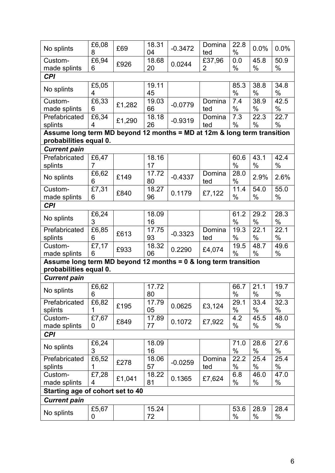| No splints                                                              | £6,08<br>8 | £69    | 18.31<br>04 | $-0.3472$ | Domina<br>ted | 22.8<br>$\%$  | 0.0%         | 0.0%         |
|-------------------------------------------------------------------------|------------|--------|-------------|-----------|---------------|---------------|--------------|--------------|
| Custom-<br>made splints                                                 | £6,94<br>6 | £926   | 18.68<br>20 | 0.0244    | £37,96<br>2   | 0.0<br>$\%$   | 45.8<br>$\%$ | 50.9<br>$\%$ |
| <b>CPI</b>                                                              |            |        |             |           |               |               |              |              |
|                                                                         | £5,05      |        | 19.11       |           |               | 85.3          | 38.8         | 34.8         |
| No splints                                                              | 4          |        | 45          |           |               | $\%$          | $\%$         | $\%$         |
| Custom-                                                                 | £6,33      |        | 19.03       |           | Domina        | 7.4           | 38.9         | 42.5         |
| made splints                                                            | 6          | £1,282 | 66          | $-0.0779$ | ted           | $\%$          | %            | $\%$         |
| Prefabricated                                                           | £6,34      |        | 18.18       |           | Domina        | 7.3           | 22.3         | 22.7         |
| splints                                                                 | 4          | £1,290 | 26          | $-0.9319$ | ted           | $\%$          | $\%$         | $\%$         |
| Assume long term MD beyond 12 months = MD at 12m & long term transition |            |        |             |           |               |               |              |              |
| probabilities equal 0.                                                  |            |        |             |           |               |               |              |              |
| <b>Current pain</b>                                                     |            |        |             |           |               |               |              |              |
| Prefabricated                                                           | £6,47      |        | 18.16       |           |               | 60.6          | 43.1         | 42.4         |
| splints                                                                 | 7          |        | 17          |           |               | $\%$          | $\%$         | $\%$         |
|                                                                         | £6,62      |        | 17.72       |           | Domina        | 28.0          |              |              |
| No splints                                                              | 6          | £149   | 80          | $-0.4337$ | ted           | $\%$          | 2.9%         | 2.6%         |
| Custom-                                                                 | £7,31      |        | 18.27       |           |               | 11.4          | 54.0         | 55.0         |
| made splints                                                            | 6          | £840   | 96          | 0.1179    | £7,122        | $\%$          | $\%$         | $\%$         |
| <b>CPI</b>                                                              |            |        |             |           |               |               |              |              |
|                                                                         | £6,24      |        | 18.09       |           |               | 61.2          | 29.2         | 28.3         |
| No splints                                                              | 3          |        | 16          |           |               | $\frac{0}{0}$ | $\%$         | $\%$         |
| Prefabricated                                                           | £6,85      |        | 17.75       |           | Domina        | 19.3          | 22.1         | 22.1         |
| splints                                                                 | 6          | £613   | 93          | $-0.3323$ | ted           | $\%$          | $\%$         | $\%$         |
| Custom-                                                                 | £7,17      |        | 18.32       |           |               | 19.5          | 48.7         | 49.6         |
| made splints                                                            | 6          | £933   | 06          | 0.2290    | £4,074        | $\%$          | $\%$         | $\%$         |
| Assume long term MD beyond 12 months = 0 & long term transition         |            |        |             |           |               |               |              |              |
| probabilities equal 0.                                                  |            |        |             |           |               |               |              |              |
| <b>Current pain</b>                                                     |            |        |             |           |               |               |              |              |
|                                                                         |            |        |             |           |               |               |              |              |
| No splints                                                              | £6,62      |        | 17.72       |           |               | 66.7          | 21.1         | 19.7         |
|                                                                         | 6          |        | 80          |           |               | %             | %            | %            |
| Prefabricated                                                           | £6,82      | £195   | 17.79       | 0.0625    | £3,124        | 29.1          | 33.4         | 32.3         |
| splints                                                                 |            |        | 05          |           |               | %             | %            | %            |
| Custom-                                                                 | £7,67      | £849   | 17.89       | 0.1072    | £7,922        | 4.2           | 45.5         | 48.0         |
| made splints                                                            | 0          |        | 77          |           |               | $\%$          | $\%$         | $\%$         |
| <b>CPI</b>                                                              |            |        |             |           |               |               |              |              |
| No splints                                                              | £6,24      |        | 18.09       |           |               | 71.0          | 28.6         | 27.6         |
|                                                                         | 3          |        | 16          |           |               | $\%$          | %            | $\%$         |
| Prefabricated                                                           | £6,52      | £278   | 18.06       | $-0.0259$ | Domina        | 22.2          | 25.4         | 25.4         |
| splints                                                                 | 1          |        | 57          |           | ted           | %             | $\%$         | %            |
| Custom-                                                                 | £7,28      | £1,041 | 18.22       | 0.1365    | £7,624        | 6.8           | 46.0         | 47.0         |
| made splints                                                            | 4          |        | 81          |           |               | $\%$          | $\%$         | $\%$         |
| Starting age of cohort set to 40                                        |            |        |             |           |               |               |              |              |
| <b>Current pain</b>                                                     |            |        |             |           |               |               |              |              |
|                                                                         | £5,67      |        | 15.24       |           |               | 53.6          | 28.9         | 28.4         |
| No splints                                                              | 0          |        | 72          |           |               | $\%$          | $\%$         | %            |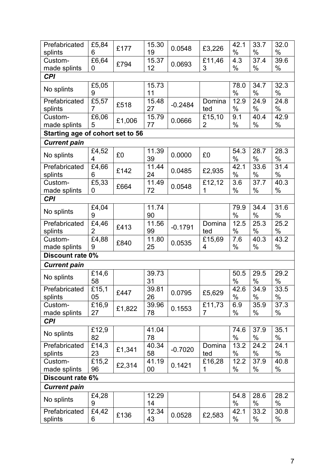| Prefabricated                    | £5,84          | £177   | 15.30 | 0.0548    | £3,226 | 42.1 | 33.7 | 32.0 |
|----------------------------------|----------------|--------|-------|-----------|--------|------|------|------|
| splints                          | 6              |        | 19    |           |        | $\%$ | $\%$ | $\%$ |
| Custom-                          | £6,64          | £794   | 15.37 | 0.0693    | £11,46 | 4.3  | 37.4 | 39.6 |
| made splints                     | 0              |        | 12    |           | 3      | %    | %    | $\%$ |
| <b>CPI</b>                       |                |        |       |           |        |      |      |      |
|                                  | £5,05          |        | 15.73 |           |        | 78.0 | 34.7 | 32.3 |
| No splints                       | 9              |        | 11    |           |        | %    | $\%$ | $\%$ |
| Prefabricated                    | £5,57          |        | 15.48 | $-0.2484$ | Domina | 12.9 | 24.9 | 24.8 |
| splints                          | 7              | £518   | 27    |           | ted    | $\%$ | $\%$ | $\%$ |
| Custom-                          | £6,06          |        | 15.79 | 0.0666    | £15,10 | 9.1  | 40.4 | 42.9 |
| made splints                     | 5              | £1,006 | 77    |           | 2      | %    | $\%$ | %    |
| Starting age of cohort set to 56 |                |        |       |           |        |      |      |      |
| <b>Current pain</b>              |                |        |       |           |        |      |      |      |
|                                  | £4,52          |        | 11.39 |           |        | 54.3 | 28.7 | 28.3 |
| No splints                       | 4              | £0     | 39    | 0.0000    | £0     | %    | $\%$ | $\%$ |
| Prefabricated                    | £4,66          |        | 11.44 |           |        | 42.1 | 33.6 | 31.4 |
| splints                          | 6              | £142   | 24    | 0.0485    | £2,935 | %    | $\%$ | $\%$ |
| Custom-                          | £5,33          |        | 11.49 |           | £12,12 | 3.6  | 37.7 | 40.3 |
| made splints                     | 0              | £664   | 72    | 0.0548    | 1      | %    | %    | $\%$ |
| <b>CPI</b>                       |                |        |       |           |        |      |      |      |
|                                  | £4,04          |        | 11.74 |           |        | 79.9 | 34.4 | 31.6 |
| No splints                       | 9              |        | 90    |           |        | %    | $\%$ | $\%$ |
| Prefabricated                    | £4,46          |        | 11.56 |           | Domina | 12.5 | 25.3 | 25.2 |
| splints                          | $\overline{2}$ | £413   | 99    | $-0.1791$ | ted    | %    | $\%$ | $\%$ |
| Custom-                          | £4,88          |        | 11.80 |           | £15,69 | 7.6  | 40.3 | 43.2 |
| made splints                     | 9              | £840   | 25    | 0.0535    | 4      | %    | $\%$ | $\%$ |
| Discount rate 0%                 |                |        |       |           |        |      |      |      |
| <b>Current pain</b>              |                |        |       |           |        |      |      |      |
|                                  | £14,6          |        | 39.73 |           |        | 50.5 | 29.5 | 29.2 |
| No splints                       | 58             |        | 31    |           |        | %    | $\%$ | $\%$ |
| Prefabricated                    | £15,1          |        | 39.81 |           |        | 42.6 | 34.9 | 33.5 |
| splints                          | 05             | £447   | 26    | 0.0795    | £5,629 | $\%$ | $\%$ | $\%$ |
| Custom-                          | £16,9          |        | 39.96 |           | £11,73 | 6.9  | 35.9 | 37.3 |
| made splints                     | 27             | £1,822 | 78    | 0.1553    | 7      | %    | $\%$ | %    |
| <b>CPI</b>                       |                |        |       |           |        |      |      |      |
|                                  | £12,9          |        | 41.04 |           |        | 74.6 | 37.9 | 35.1 |
| No splints                       | 82             |        | 78    |           |        | $\%$ | $\%$ | $\%$ |
| Prefabricated                    | £14,3          |        | 40.34 |           | Domina | 13.2 | 24.2 | 24.1 |
| splints                          | 23             | £1,341 | 58    | $-0.7020$ | ted    | %    | $\%$ | %    |
| Custom-                          | £15,2          |        | 41.19 |           | £16,28 | 12.2 | 37.9 | 40.8 |
| made splints                     | 96             | £2,314 | 00    | 0.1421    | 1      | %    | $\%$ | $\%$ |
| Discount rate 6%                 |                |        |       |           |        |      |      |      |
| <b>Current pain</b>              |                |        |       |           |        |      |      |      |
|                                  | £4,28          |        | 12.29 |           |        | 54.8 | 28.6 | 28.2 |
| No splints                       | 9              |        | 14    |           |        | %    | $\%$ | $\%$ |
| Prefabricated                    | £4,42          |        | 12.34 |           |        | 42.1 | 33.2 | 30.8 |
| splints                          | 6              | £136   | 43    | 0.0528    | £2,583 | %    | %    | %    |
|                                  |                |        |       |           |        |      |      |      |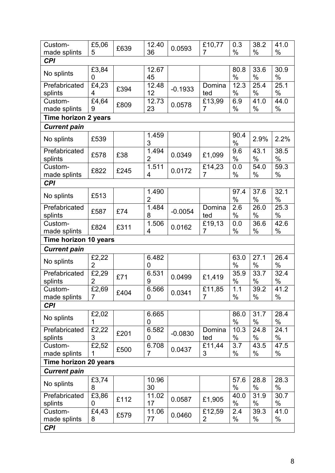| Custom-                    | £5,06          |      | 12.40          |           | £10,77         | 0.3              | 38.2         | 41.0         |
|----------------------------|----------------|------|----------------|-----------|----------------|------------------|--------------|--------------|
| made splints               | 5              | £639 | 36             | 0.0593    | $\overline{7}$ | $\frac{0}{0}$    | $\%$         | $\%$         |
| <b>CPI</b>                 |                |      |                |           |                |                  |              |              |
|                            | £3,84          |      | 12.67          |           |                | 80.8             | 33.6         | 30.9         |
| No splints                 | 0              |      | 45             |           |                | $\%$             | $\%$         | $\%$         |
| Prefabricated              | £4,23          | £394 | 12.48          | $-0.1933$ | Domina         | 12.3             | 25.4         | 25.1         |
| splints                    | 4              |      | 12             |           | ted            | $\%$             | $\%$         | $\%$         |
| Custom-                    | £4,64          | £809 | 12.73          | 0.0578    | £13,99         | 6.9              | 41.0         | 44.0         |
| made splints               | 9              |      | 23             |           | $\overline{7}$ | $\%$             | $\%$         | $\%$         |
| Time horizon 2 years       |                |      |                |           |                |                  |              |              |
| <b>Current pain</b>        |                |      |                |           |                |                  |              |              |
| No splints                 | £539           |      | 1.459<br>3     |           |                | 90.4<br>$\%$     | 2.9%         | 2.2%         |
| Prefabricated<br>splints   | £578           | £38  | 1.494<br>2     | 0.0349    | £1,099         | 9.6<br>$\%$      | 43.1<br>$\%$ | 38.5<br>$\%$ |
| Custom-                    |                |      | 1.511          |           | £14,23         | 0.0              | 54.0         | 59.3         |
| made splints               | £822           | £245 | 4              | 0.0172    | $\overline{7}$ | $\%$             | %            | $\%$         |
| <b>CPI</b>                 |                |      |                |           |                |                  |              |              |
|                            |                |      | 1.490          |           |                | 97.4             | 37.6         | 32.1         |
| No splints                 | £513           |      | $\overline{2}$ |           |                | $\%$             | $\%$         | $\%$         |
| Prefabricated              |                |      | 1.484          |           | Domina         | $\overline{2.6}$ | 26.0         | 25.3         |
| splints                    | £587           | £74  | 8              | $-0.0054$ | ted            | $\%$             | $\%$         | $\%$         |
| Custom-                    | £824           | £311 | 1.506          | 0.0162    | £19,13         | 0.0              | 36.6         | 42.6         |
| made splints               |                |      | 4              |           | $\overline{7}$ | $\%$             | $\%$         | $\%$         |
| Time horizon 10 years      |                |      |                |           |                |                  |              |              |
| <b>Current pain</b>        |                |      |                |           |                |                  |              |              |
|                            |                |      |                |           |                |                  |              |              |
|                            | £2,22          |      | 6.482          |           |                | 63.0             | 27.1         | 26.4         |
| No splints                 | 2              |      | 0              |           |                | $\%$             | $\%$         | $\%$         |
| Prefabricated              | £2,29          |      | 6.531          |           |                | 35.9             | 33.7         | 32.4         |
| splints                    | $\overline{2}$ | £71  | 9              | 0.0499    | £1,419         | $\%$             | $\%$         | $\%$         |
| Custom-                    | £2,69          |      | 6.566          |           | £11,85         | 1.1              | 39.2         | 41.2         |
| made splints               | 7              | £404 | 0              | 0.0341    | $\overline{7}$ | $\%$             | $\%$         | $\%$         |
| <b>CPI</b>                 |                |      |                |           |                |                  |              |              |
|                            | £2,02          |      | 6.665          |           |                | 86.0             | 31.7         | 28.4         |
| No splints                 | 1              |      | 0              |           |                | $\frac{0}{0}$    | $\%$         | $\%$         |
| Prefabricated              | £2,22          | £201 | 6.582          | $-0.0830$ | Domina         | 10.3             | 24.8         | 24.1         |
| splints                    | 3              |      | 0              |           | ted            | $\%$             | $\%$         | $\%$         |
| Custom-                    | £2,52          | £500 | 6.708          | 0.0437    | £11,44         | 3.7              | 43.5         | 47.5         |
| made splints               | 1              |      | 7              |           | 3              | $\%$             | $\%$         | %            |
| Time horizon 20 years      |                |      |                |           |                |                  |              |              |
| <b>Current pain</b>        |                |      |                |           |                |                  |              |              |
| No splints                 | £3,74<br>8     |      | 10.96<br>30    |           |                | 57.6<br>$\%$     | 28.8<br>%    | 28.3<br>$\%$ |
| Prefabricated              | £3,86          |      | 11.02          |           |                | 40.0             | 31.9         | 30.7         |
| splints                    | 0              | £112 | 17             | 0.0587    | £1,905         | $\%$             | $\%$         | $\%$         |
| Custom-                    | £4,43          | £579 | 11.06          | 0.0460    | £12,59         | 2.4              | 39.3         | 41.0         |
| made splints<br><b>CPI</b> | 8              |      | 77             |           | 2              | $\%$             | $\%$         | $\%$         |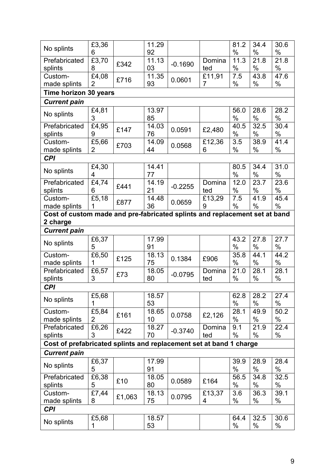|                                                                            | £3,36               |        | 11.29 |           |                | 81.2          | 34.4 | 30.6 |
|----------------------------------------------------------------------------|---------------------|--------|-------|-----------|----------------|---------------|------|------|
| No splints                                                                 | 6                   |        | 92    |           |                | $\frac{0}{0}$ | $\%$ | $\%$ |
| Prefabricated                                                              |                     |        | 11.13 |           | Domina         | 11.3          | 21.8 | 21.8 |
| splints                                                                    | £3,70<br>8          | £342   | 03    | $-0.1690$ | ted            | $\%$          | $\%$ | $\%$ |
| Custom-                                                                    | $\overline{E}$ 4,08 |        | 11.35 | 0.0601    | £11,91         | 7.5           | 43.8 | 47.6 |
| made splints                                                               | 2                   | £716   | 93    |           | $\overline{7}$ | $\%$          | $\%$ | $\%$ |
| Time horizon 30 years                                                      |                     |        |       |           |                |               |      |      |
| <b>Current pain</b>                                                        |                     |        |       |           |                |               |      |      |
|                                                                            | £4,81               |        | 13.97 |           |                | 56.0          | 28.6 | 28.2 |
| No splints                                                                 | 3                   |        | 85    |           |                | $\%$          | $\%$ | $\%$ |
| Prefabricated                                                              | £4,95               |        | 14.03 |           |                | 40.5          | 32.5 | 30.4 |
| splints                                                                    | 9                   | £147   | 76    | 0.0591    | £2,480         | $\%$          | $\%$ | $\%$ |
| Custom-                                                                    | £5,66               |        | 14.09 |           | £12,36         | 3.5           | 38.9 | 41.4 |
| made splints                                                               | 2                   | £703   | 44    | 0.0568    | 6              | $\%$          | $\%$ | $\%$ |
| <b>CPI</b>                                                                 |                     |        |       |           |                |               |      |      |
|                                                                            | £4,30               |        | 14.41 |           |                | 80.5          | 34.4 | 31.0 |
| No splints                                                                 | 4                   |        | 77    |           |                | $\%$          | $\%$ | $\%$ |
| Prefabricated                                                              | £4,74               |        | 14.19 |           | Domina         | 12.0          | 23.7 | 23.6 |
| splints                                                                    | 6                   | £441   | 21    | $-0.2255$ | ted            | $\frac{0}{0}$ | $\%$ | $\%$ |
| Custom-                                                                    | £5,18               |        | 14.48 |           | £13,29         | 7.5           | 41.9 | 45.4 |
| made splints                                                               | 1                   | £877   | 36    | 0.0659    | 9              | $\%$          | $\%$ | $\%$ |
|                                                                            |                     |        |       |           |                |               |      |      |
| Cost of custom made and pre-fabricated splints and replacement set at band |                     |        |       |           |                |               |      |      |
| 2 charge                                                                   |                     |        |       |           |                |               |      |      |
| <b>Current pain</b>                                                        |                     |        |       |           |                |               |      |      |
| No splints                                                                 | £6,37               |        | 17.99 |           |                | 43.2          | 27.8 | 27.7 |
|                                                                            | 5                   |        | 91    |           |                | $\%$          | $\%$ | $\%$ |
| Custom-                                                                    | £6,50               | £125   | 18.13 | 0.1384    | £906           | 35.8          | 44.1 | 44.2 |
| made splints                                                               | 1                   |        | 75    |           |                | $\%$          | $\%$ | $\%$ |
| Prefabricated                                                              | £6,57               | £73    | 18.05 | $-0.0795$ | Domina         | 21.0          | 28.1 | 28.1 |
| splints                                                                    | 3                   |        | 80    |           | ted            | $\%$          | $\%$ | $\%$ |
| <b>CPI</b>                                                                 |                     |        |       |           |                |               |      |      |
|                                                                            | £5,68               |        | 18.57 |           |                | 62.8          | 28.2 | 27.4 |
| No splints                                                                 |                     |        | 53    |           |                | $\%$          | $\%$ | $\%$ |
| Custom-                                                                    | £5,84               |        | 18.65 |           |                | 28.1          | 49.9 | 50.2 |
| made splints                                                               | 2                   | £161   | 10    | 0.0758    | £2,126         | $\%$          | $\%$ | $\%$ |
| Prefabricated                                                              | £6,26               |        | 18.27 |           | Domina         | 9.1           | 21.9 | 22.4 |
| splints                                                                    | 3                   | £422   | 70    | $-0.3740$ | ted            | $\%$          | $\%$ | $\%$ |
| Cost of prefabricated splints and replacement set at band 1 charge         |                     |        |       |           |                |               |      |      |
|                                                                            |                     |        |       |           |                |               |      |      |
| <b>Current pain</b>                                                        |                     |        |       |           |                |               |      |      |
| No splints                                                                 | £6,37               |        | 17.99 |           |                | 39.9          | 28.9 | 28.4 |
|                                                                            | 5                   |        | 91    |           |                | $\%$          | $\%$ | $\%$ |
| Prefabricated                                                              | £6,38               | £10    | 18.05 | 0.0589    | £164           | 56.5          | 34.8 | 32.5 |
| splints                                                                    | 5                   |        | 80    |           |                | %             | $\%$ | $\%$ |
| Custom-                                                                    | £7,44               | £1,063 | 18.13 | 0.0795    | £13,37         | 3.6           | 36.3 | 39.1 |
| made splints                                                               | 8                   |        | 75    |           | 4              | $\%$          | $\%$ | $\%$ |
| <b>CPI</b>                                                                 |                     |        |       |           |                |               |      |      |
|                                                                            | £5,68               |        | 18.57 |           |                | 64.4          | 32.5 | 30.6 |
| No splints                                                                 | 1                   |        | 53    |           |                | %             | $\%$ | $\%$ |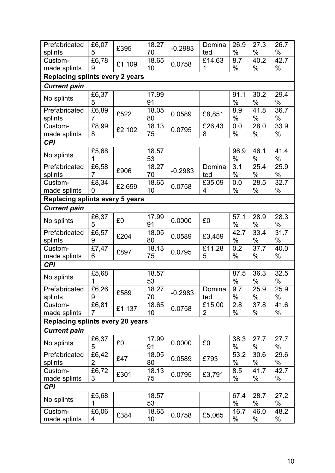| Prefabricated                                                 | £6,07 | £395   | 18.27 | $-0.2983$ | Domina | 26.9 | 27.3 | 26.7 |
|---------------------------------------------------------------|-------|--------|-------|-----------|--------|------|------|------|
| splints                                                       | 5     |        | 70    |           | ted    | $\%$ | $\%$ | $\%$ |
| Custom-                                                       | £6,78 | £1,109 | 18.65 | 0.0758    | £14,63 | 8.7  | 40.2 | 42.7 |
| made splints                                                  | 9     |        | 10    |           | 1      | $\%$ | %    | $\%$ |
| <b>Replacing splints every 2 years</b>                        |       |        |       |           |        |      |      |      |
| <b>Current pain</b>                                           |       |        |       |           |        |      |      |      |
|                                                               | £6,37 |        | 17.99 |           |        | 91.1 | 30.2 | 29.4 |
| No splints                                                    | 5     |        | 91    |           |        | $\%$ | $\%$ | $\%$ |
| Prefabricated                                                 | £6,89 |        | 18.05 |           |        | 8.9  | 41.8 | 36.7 |
| splints                                                       | 7     | £522   | 80    | 0.0589    | £8,851 | $\%$ | $\%$ | $\%$ |
| Custom-                                                       | £8,99 |        | 18.13 |           | £26,43 | 0.0  | 28.0 | 33.9 |
| made splints                                                  | 8     | £2,102 | 75    | 0.0795    | 8      | $\%$ | $\%$ | $\%$ |
| <b>CPI</b>                                                    |       |        |       |           |        |      |      |      |
|                                                               | £5,68 |        | 18.57 |           |        | 96.9 | 46.1 | 41.4 |
| No splints                                                    |       |        | 53    |           |        | $\%$ | %    | $\%$ |
| Prefabricated                                                 | £6,58 |        | 18.27 |           | Domina | 3.1  | 25.4 | 25.9 |
| splints                                                       | 7     | £906   | 70    | $-0.2983$ | ted    | $\%$ | $\%$ | %    |
| Custom-                                                       | £8,34 |        | 18.65 |           | £35,09 | 0.0  | 28.5 | 32.7 |
| made splints                                                  | 0     | £2,659 | 10    | 0.0758    | 4      | $\%$ | $\%$ | $\%$ |
|                                                               |       |        |       |           |        |      |      |      |
| <b>Replacing splints every 5 years</b><br><b>Current pain</b> |       |        |       |           |        |      |      |      |
|                                                               | £6,37 |        | 17.99 |           |        | 57.1 | 28.9 | 28.3 |
| No splints                                                    | 5     | £0     | 91    | 0.0000    | £0     | $\%$ | $\%$ | $\%$ |
| Prefabricated                                                 | £6,57 |        | 18.05 |           |        | 42.7 | 33.4 | 31.7 |
| splints                                                       | 9     | £204   | 80    | 0.0589    | £3,459 | %    | $\%$ | %    |
| Custom-                                                       | £7,47 |        | 18.13 |           | £11,28 | 0.2  | 37.7 | 40.0 |
| made splints                                                  | 6     | £897   | 75    | 0.0795    | 5      | $\%$ | $\%$ | $\%$ |
| <b>CPI</b>                                                    |       |        |       |           |        |      |      |      |
|                                                               | £5,68 |        | 18.57 |           |        | 87.5 | 36.3 | 32.5 |
| No splints                                                    | 1     |        | 53    |           |        | $\%$ | $\%$ | $\%$ |
| Prefabricated                                                 | £6,26 |        | 18.27 |           | Domina | 9.7  | 25.9 | 25.9 |
| splints                                                       | 9     | £589   | 70    | $-0.2983$ | ted    | $\%$ | $\%$ | %    |
| Custom-                                                       | £6,81 |        | 18.65 |           | £15,00 | 2.8  | 37.8 | 41.6 |
| made splints                                                  | 7     | £1,137 | 10    | 0.0758    | 2      | %    | $\%$ | %    |
| <b>Replacing splints every 20 years</b>                       |       |        |       |           |        |      |      |      |
| <b>Current pain</b>                                           |       |        |       |           |        |      |      |      |
|                                                               | £6,37 |        | 17.99 |           |        | 38.3 | 27.7 | 27.7 |
| No splints                                                    | 5     | £0     | 91    | 0.0000    | £0     | $\%$ | $\%$ | $\%$ |
| Prefabricated                                                 | £6,42 |        | 18.05 |           |        | 53.2 | 30.6 | 29.6 |
| splints                                                       | 2     | £47    | 80    | 0.0589    | £793   | $\%$ | $\%$ | $\%$ |
| Custom-                                                       | £6,72 |        | 18.13 |           |        | 8.5  | 41.7 | 42.7 |
| made splints                                                  | 3     | £301   | 75    | 0.0795    | £3,791 | $\%$ | $\%$ | $\%$ |
| <b>CPI</b>                                                    |       |        |       |           |        |      |      |      |
|                                                               | £5,68 |        | 18.57 |           |        | 67.4 | 28.7 | 27.2 |
| No splints                                                    |       |        | 53    |           |        | $\%$ | $\%$ | %    |
| Custom-                                                       | £6,06 |        | 18.65 |           |        | 16.7 | 46.0 | 48.2 |
| made splints                                                  | 4     | £384   | 10    | 0.0758    | £5,065 | $\%$ | $\%$ | %    |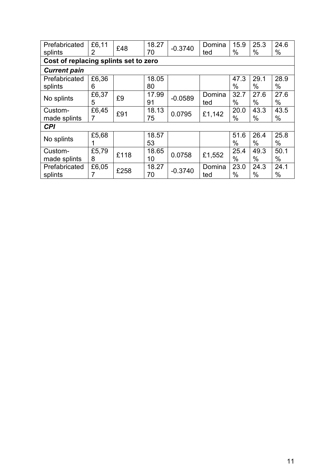| Prefabricated<br>splints | £6,11<br>2                            | £48  | 18.27<br>70 | $-0.3740$ | Domina<br>ted | 15.9<br>%    | 25.3<br>$\%$ | 24.6<br>$\%$ |  |
|--------------------------|---------------------------------------|------|-------------|-----------|---------------|--------------|--------------|--------------|--|
|                          | Cost of replacing splints set to zero |      |             |           |               |              |              |              |  |
| <b>Current pain</b>      |                                       |      |             |           |               |              |              |              |  |
| Prefabricated<br>splints | £6,36<br>6                            |      | 18.05<br>80 |           |               | 47.3<br>$\%$ | 29.1<br>$\%$ | 28.9<br>$\%$ |  |
| No splints               | £6,37<br>5                            | £9   | 17.99<br>91 | $-0.0589$ | Domina<br>ted | 32.7<br>$\%$ | 27.6<br>$\%$ | 27.6<br>$\%$ |  |
| Custom-<br>made splints  | £6,45<br>7                            | £91  | 18.13<br>75 | 0.0795    | £1,142        | 20.0<br>$\%$ | 43.3<br>$\%$ | 43.5<br>$\%$ |  |
| <b>CPI</b>               |                                       |      |             |           |               |              |              |              |  |
| No splints               | £5,68                                 |      | 18.57<br>53 |           |               | 51.6<br>$\%$ | 26.4<br>$\%$ | 25.8<br>$\%$ |  |
| Custom-<br>made splints  | £5,79<br>8                            | £118 | 18.65<br>10 | 0.0758    | £1,552        | 25.4<br>%    | 49.3<br>$\%$ | 50.1<br>$\%$ |  |
| Prefabricated<br>splints | £6,05                                 | £258 | 18.27<br>70 | $-0.3740$ | Domina<br>ted | 23.0<br>%    | 24.3<br>$\%$ | 24.1<br>$\%$ |  |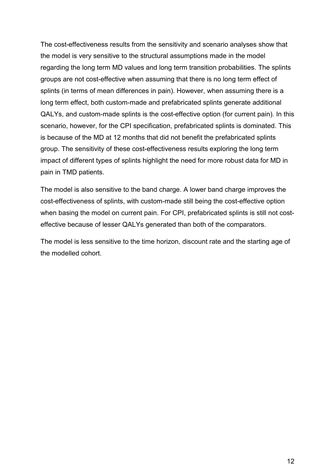The cost-effectiveness results from the sensitivity and scenario analyses show that the model is very sensitive to the structural assumptions made in the model regarding the long term MD values and long term transition probabilities. The splints groups are not cost-effective when assuming that there is no long term effect of splints (in terms of mean differences in pain). However, when assuming there is a long term effect, both custom-made and prefabricated splints generate additional QALYs, and custom-made splints is the cost-effective option (for current pain). In this scenario, however, for the CPI specification, prefabricated splints is dominated. This is because of the MD at 12 months that did not benefit the prefabricated splints group. The sensitivity of these cost-effectiveness results exploring the long term impact of different types of splints highlight the need for more robust data for MD in pain in TMD patients.

The model is also sensitive to the band charge. A lower band charge improves the cost-effectiveness of splints, with custom-made still being the cost-effective option when basing the model on current pain. For CPI, prefabricated splints is still not costeffective because of lesser QALYs generated than both of the comparators.

The model is less sensitive to the time horizon, discount rate and the starting age of the modelled cohort.